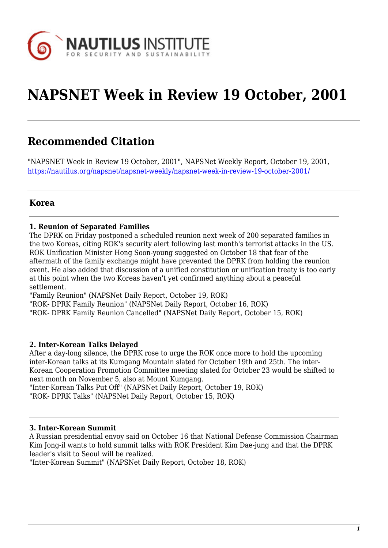

# **NAPSNET Week in Review 19 October, 2001**

# **Recommended Citation**

"NAPSNET Week in Review 19 October, 2001", NAPSNet Weekly Report, October 19, 2001, <https://nautilus.org/napsnet/napsnet-weekly/napsnet-week-in-review-19-october-2001/>

# **Korea**

#### **1. Reunion of Separated Families**

The DPRK on Friday postponed a scheduled reunion next week of 200 separated families in the two Koreas, citing ROK's security alert following last month's terrorist attacks in the US. ROK Unification Minister Hong Soon-young suggested on October 18 that fear of the aftermath of the family exchange might have prevented the DPRK from holding the reunion event. He also added that discussion of a unified constitution or unification treaty is too early at this point when the two Koreas haven't yet confirmed anything about a peaceful settlement.

"Family Reunion" (NAPSNet Daily Report, October 19, ROK)

"ROK- DPRK Family Reunion" (NAPSNet Daily Report, October 16, ROK)

"ROK- DPRK Family Reunion Cancelled" (NAPSNet Daily Report, October 15, ROK)

#### **2. Inter-Korean Talks Delayed**

After a day-long silence, the DPRK rose to urge the ROK once more to hold the upcoming inter-Korean talks at its Kumgang Mountain slated for October 19th and 25th. The inter-Korean Cooperation Promotion Committee meeting slated for October 23 would be shifted to next month on November 5, also at Mount Kumgang.

"Inter-Korean Talks Put Off" (NAPSNet Daily Report, October 19, ROK) "ROK- DPRK Talks" (NAPSNet Daily Report, October 15, ROK)

#### **3. Inter-Korean Summit**

A Russian presidential envoy said on October 16 that National Defense Commission Chairman Kim Jong-il wants to hold summit talks with ROK President Kim Dae-jung and that the DPRK leader's visit to Seoul will be realized.

"Inter-Korean Summit" (NAPSNet Daily Report, October 18, ROK)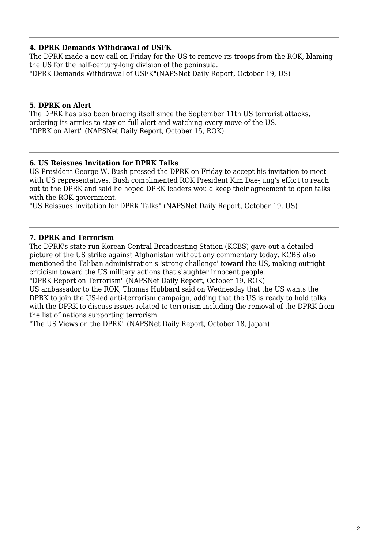# **4. DPRK Demands Withdrawal of USFK**

The DPRK made a new call on Friday for the US to remove its troops from the ROK, blaming the US for the half-century-long division of the peninsula. "DPRK Demands Withdrawal of USFK"(NAPSNet Daily Report, October 19, US)

#### **5. DPRK on Alert**

The DPRK has also been bracing itself since the September 11th US terrorist attacks, ordering its armies to stay on full alert and watching every move of the US. "DPRK on Alert" (NAPSNet Daily Report, October 15, ROK)

#### **6. US Reissues Invitation for DPRK Talks**

US President George W. Bush pressed the DPRK on Friday to accept his invitation to meet with US representatives. Bush complimented ROK President Kim Dae-jung's effort to reach out to the DPRK and said he hoped DPRK leaders would keep their agreement to open talks with the ROK government.

"US Reissues Invitation for DPRK Talks" (NAPSNet Daily Report, October 19, US)

# **7. DPRK and Terrorism**

The DPRK's state-run Korean Central Broadcasting Station (KCBS) gave out a detailed picture of the US strike against Afghanistan without any commentary today. KCBS also mentioned the Taliban administration's 'strong challenge' toward the US, making outright criticism toward the US military actions that slaughter innocent people.

"DPRK Report on Terrorism" (NAPSNet Daily Report, October 19, ROK)

US ambassador to the ROK, Thomas Hubbard said on Wednesday that the US wants the DPRK to join the US-led anti-terrorism campaign, adding that the US is ready to hold talks with the DPRK to discuss issues related to terrorism including the removal of the DPRK from the list of nations supporting terrorism.

"The US Views on the DPRK" (NAPSNet Daily Report, October 18, Japan)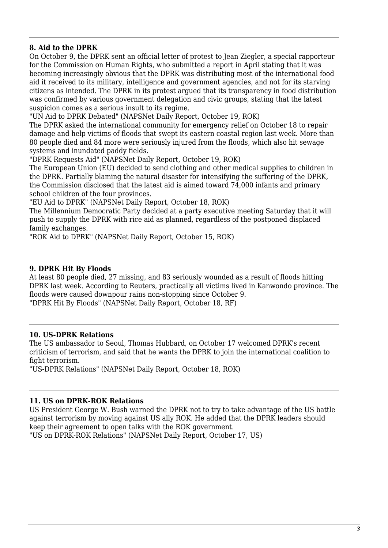#### **8. Aid to the DPRK**

On October 9, the DPRK sent an official letter of protest to Jean Ziegler, a special rapporteur for the Commission on Human Rights, who submitted a report in April stating that it was becoming increasingly obvious that the DPRK was distributing most of the international food aid it received to its military, intelligence and government agencies, and not for its starving citizens as intended. The DPRK in its protest argued that its transparency in food distribution was confirmed by various government delegation and civic groups, stating that the latest suspicion comes as a serious insult to its regime.

"UN Aid to DPRK Debated" (NAPSNet Daily Report, October 19, ROK)

The DPRK asked the international community for emergency relief on October 18 to repair damage and help victims of floods that swept its eastern coastal region last week. More than 80 people died and 84 more were seriously injured from the floods, which also hit sewage systems and inundated paddy fields.

"DPRK Requests Aid" (NAPSNet Daily Report, October 19, ROK)

The European Union (EU) decided to send clothing and other medical supplies to children in the DPRK. Partially blaming the natural disaster for intensifying the suffering of the DPRK, the Commission disclosed that the latest aid is aimed toward 74,000 infants and primary school children of the four provinces.

"EU Aid to DPRK" (NAPSNet Daily Report, October 18, ROK)

The Millennium Democratic Party decided at a party executive meeting Saturday that it will push to supply the DPRK with rice aid as planned, regardless of the postponed displaced family exchanges.

"ROK Aid to DPRK" (NAPSNet Daily Report, October 15, ROK)

#### **9. DPRK Hit By Floods**

At least 80 people died, 27 missing, and 83 seriously wounded as a result of floods hitting DPRK last week. According to Reuters, practically all victims lived in Kanwondo province. The floods were caused downpour rains non-stopping since October 9. "DPRK Hit By Floods" (NAPSNet Daily Report, October 18, RF)

#### **10. US-DPRK Relations**

The US ambassador to Seoul, Thomas Hubbard, on October 17 welcomed DPRK's recent criticism of terrorism, and said that he wants the DPRK to join the international coalition to fight terrorism.

"US-DPRK Relations" (NAPSNet Daily Report, October 18, ROK)

#### **11. US on DPRK-ROK Relations**

US President George W. Bush warned the DPRK not to try to take advantage of the US battle against terrorism by moving against US ally ROK. He added that the DPRK leaders should keep their agreement to open talks with the ROK government.

"US on DPRK-ROK Relations" (NAPSNet Daily Report, October 17, US)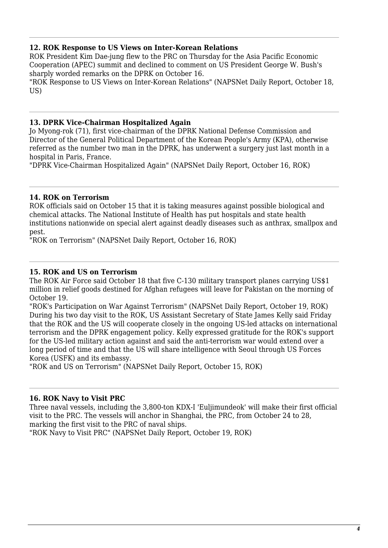#### **12. ROK Response to US Views on Inter-Korean Relations**

ROK President Kim Dae-jung flew to the PRC on Thursday for the Asia Pacific Economic Cooperation (APEC) summit and declined to comment on US President George W. Bush's sharply worded remarks on the DPRK on October 16.

"ROK Response to US Views on Inter-Korean Relations" (NAPSNet Daily Report, October 18, US)

#### **13. DPRK Vice-Chairman Hospitalized Again**

Jo Myong-rok (71), first vice-chairman of the DPRK National Defense Commission and Director of the General Political Department of the Korean People's Army (KPA), otherwise referred as the number two man in the DPRK, has underwent a surgery just last month in a hospital in Paris, France.

"DPRK Vice-Chairman Hospitalized Again" (NAPSNet Daily Report, October 16, ROK)

#### **14. ROK on Terrorism**

ROK officials said on October 15 that it is taking measures against possible biological and chemical attacks. The National Institute of Health has put hospitals and state health institutions nationwide on special alert against deadly diseases such as anthrax, smallpox and pest.

"ROK on Terrorism" (NAPSNet Daily Report, October 16, ROK)

#### **15. ROK and US on Terrorism**

The ROK Air Force said October 18 that five C-130 military transport planes carrying US\$1 million in relief goods destined for Afghan refugees will leave for Pakistan on the morning of October 19.

"ROK's Participation on War Against Terrorism" (NAPSNet Daily Report, October 19, ROK) During his two day visit to the ROK, US Assistant Secretary of State James Kelly said Friday that the ROK and the US will cooperate closely in the ongoing US-led attacks on international terrorism and the DPRK engagement policy. Kelly expressed gratitude for the ROK's support for the US-led military action against and said the anti-terrorism war would extend over a long period of time and that the US will share intelligence with Seoul through US Forces Korea (USFK) and its embassy.

"ROK and US on Terrorism" (NAPSNet Daily Report, October 15, ROK)

#### **16. ROK Navy to Visit PRC**

Three naval vessels, including the 3,800-ton KDX-I 'Euljimundeok' will make their first official visit to the PRC. The vessels will anchor in Shanghai, the PRC, from October 24 to 28, marking the first visit to the PRC of naval ships.

"ROK Navy to Visit PRC" (NAPSNet Daily Report, October 19, ROK)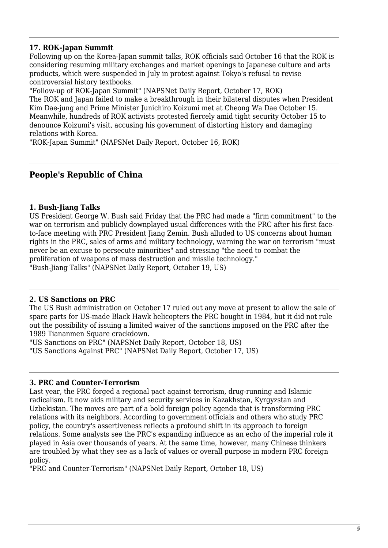# **17. ROK-Japan Summit**

Following up on the Korea-Japan summit talks, ROK officials said October 16 that the ROK is considering resuming military exchanges and market openings to Japanese culture and arts products, which were suspended in July in protest against Tokyo's refusal to revise controversial history textbooks.

"Follow-up of ROK-Japan Summit" (NAPSNet Daily Report, October 17, ROK) The ROK and Japan failed to make a breakthrough in their bilateral disputes when President Kim Dae-jung and Prime Minister Junichiro Koizumi met at Cheong Wa Dae October 15. Meanwhile, hundreds of ROK activists protested fiercely amid tight security October 15 to denounce Koizumi's visit, accusing his government of distorting history and damaging relations with Korea.

"ROK-Japan Summit" (NAPSNet Daily Report, October 16, ROK)

# **People's Republic of China**

#### **1. Bush-Jiang Talks**

US President George W. Bush said Friday that the PRC had made a "firm commitment" to the war on terrorism and publicly downplayed usual differences with the PRC after his first faceto-face meeting with PRC President Jiang Zemin. Bush alluded to US concerns about human rights in the PRC, sales of arms and military technology, warning the war on terrorism "must never be an excuse to persecute minorities" and stressing "the need to combat the proliferation of weapons of mass destruction and missile technology." "Bush-Jiang Talks" (NAPSNet Daily Report, October 19, US)

#### **2. US Sanctions on PRC**

The US Bush administration on October 17 ruled out any move at present to allow the sale of spare parts for US-made Black Hawk helicopters the PRC bought in 1984, but it did not rule out the possibility of issuing a limited waiver of the sanctions imposed on the PRC after the 1989 Tiananmen Square crackdown.

"US Sanctions on PRC" (NAPSNet Daily Report, October 18, US) "US Sanctions Against PRC" (NAPSNet Daily Report, October 17, US)

#### **3. PRC and Counter-Terrorism**

Last year, the PRC forged a regional pact against terrorism, drug-running and Islamic radicalism. It now aids military and security services in Kazakhstan, Kyrgyzstan and Uzbekistan. The moves are part of a bold foreign policy agenda that is transforming PRC relations with its neighbors. According to government officials and others who study PRC policy, the country's assertiveness reflects a profound shift in its approach to foreign relations. Some analysts see the PRC's expanding influence as an echo of the imperial role it played in Asia over thousands of years. At the same time, however, many Chinese thinkers are troubled by what they see as a lack of values or overall purpose in modern PRC foreign policy.

"PRC and Counter-Terrorism" (NAPSNet Daily Report, October 18, US)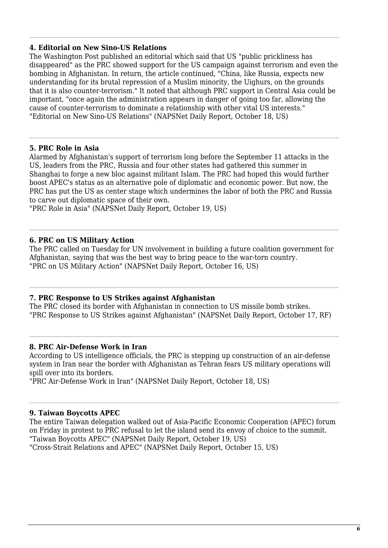#### **4. Editorial on New Sino-US Relations**

The Washington Post published an editorial which said that US "public prickliness has disappeared" as the PRC showed support for the US campaign against terrorism and even the bombing in Afghanistan. In return, the article continued, "China, like Russia, expects new understanding for its brutal repression of a Muslim minority, the Uighurs, on the grounds that it is also counter-terrorism." It noted that although PRC support in Central Asia could be important, "once again the administration appears in danger of going too far, allowing the cause of counter-terrorism to dominate a relationship with other vital US interests." "Editorial on New Sino-US Relations" (NAPSNet Daily Report, October 18, US)

#### **5. PRC Role in Asia**

Alarmed by Afghanistan's support of terrorism long before the September 11 attacks in the US, leaders from the PRC, Russia and four other states had gathered this summer in Shanghai to forge a new bloc against militant Islam. The PRC had hoped this would further boost APEC's status as an alternative pole of diplomatic and economic power. But now, the PRC has put the US as center stage which undermines the labor of both the PRC and Russia to carve out diplomatic space of their own.

"PRC Role in Asia" (NAPSNet Daily Report, October 19, US)

#### **6. PRC on US Military Action**

The PRC called on Tuesday for UN involvement in building a future coalition government for Afghanistan, saying that was the best way to bring peace to the war-torn country. "PRC on US Military Action" (NAPSNet Daily Report, October 16, US)

#### **7. PRC Response to US Strikes against Afghanistan**

The PRC closed its border with Afghanistan in connection to US missile bomb strikes. "PRC Response to US Strikes against Afghanistan" (NAPSNet Daily Report, October 17, RF)

#### **8. PRC Air-Defense Work in Iran**

According to US intelligence officials, the PRC is stepping up construction of an air-defense system in Iran near the border with Afghanistan as Tehran fears US military operations will spill over into its borders.

"PRC Air-Defense Work in Iran" (NAPSNet Daily Report, October 18, US)

#### **9. Taiwan Boycotts APEC**

The entire Taiwan delegation walked out of Asia-Pacific Economic Cooperation (APEC) forum on Friday in protest to PRC refusal to let the island send its envoy of choice to the summit. "Taiwan Boycotts APEC" (NAPSNet Daily Report, October 19, US) "Cross-Strait Relations and APEC" (NAPSNet Daily Report, October 15, US)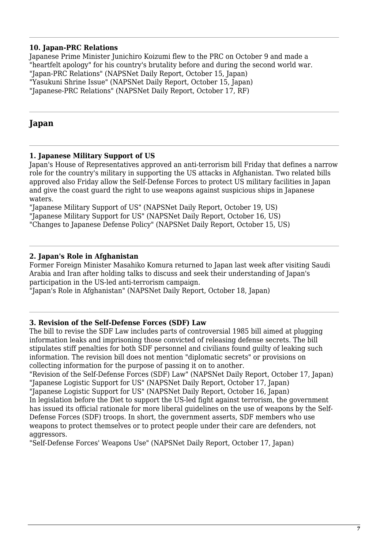# **10. Japan-PRC Relations**

Japanese Prime Minister Junichiro Koizumi flew to the PRC on October 9 and made a "heartfelt apology" for his country's brutality before and during the second world war. "Japan-PRC Relations" (NAPSNet Daily Report, October 15, Japan) "Yasukuni Shrine Issue" (NAPSNet Daily Report, October 15, Japan) "Japanese-PRC Relations" (NAPSNet Daily Report, October 17, RF)

# **Japan**

#### **1. Japanese Military Support of US**

Japan's House of Representatives approved an anti-terrorism bill Friday that defines a narrow role for the country's military in supporting the US attacks in Afghanistan. Two related bills approved also Friday allow the Self-Defense Forces to protect US military facilities in Japan and give the coast guard the right to use weapons against suspicious ships in Japanese waters.

"Japanese Military Support of US" (NAPSNet Daily Report, October 19, US) "Japanese Military Support for US" (NAPSNet Daily Report, October 16, US)

"Changes to Japanese Defense Policy" (NAPSNet Daily Report, October 15, US)

#### **2. Japan's Role in Afghanistan**

Former Foreign Minister Masahiko Komura returned to Japan last week after visiting Saudi Arabia and Iran after holding talks to discuss and seek their understanding of Japan's participation in the US-led anti-terrorism campaign.

"Japan's Role in Afghanistan" (NAPSNet Daily Report, October 18, Japan)

#### **3. Revision of the Self-Defense Forces (SDF) Law**

The bill to revise the SDF Law includes parts of controversial 1985 bill aimed at plugging information leaks and imprisoning those convicted of releasing defense secrets. The bill stipulates stiff penalties for both SDF personnel and civilians found guilty of leaking such information. The revision bill does not mention "diplomatic secrets" or provisions on collecting information for the purpose of passing it on to another.

"Revision of the Self-Defense Forces (SDF) Law" (NAPSNet Daily Report, October 17, Japan) "Japanese Logistic Support for US" (NAPSNet Daily Report, October 17, Japan) "Japanese Logistic Support for US" (NAPSNet Daily Report, October 16, Japan)

In legislation before the Diet to support the US-led fight against terrorism, the government has issued its official rationale for more liberal guidelines on the use of weapons by the Self-Defense Forces (SDF) troops. In short, the government asserts, SDF members who use weapons to protect themselves or to protect people under their care are defenders, not aggressors.

"Self-Defense Forces' Weapons Use" (NAPSNet Daily Report, October 17, Japan)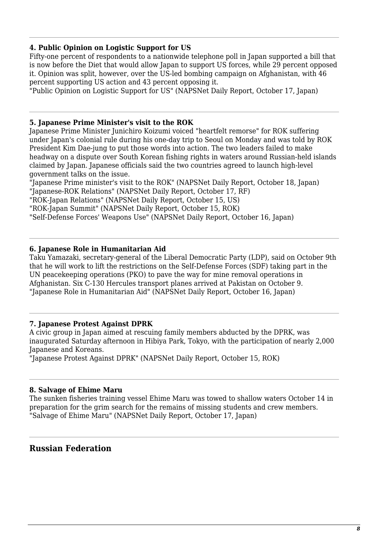# **4. Public Opinion on Logistic Support for US**

Fifty-one percent of respondents to a nationwide telephone poll in Japan supported a bill that is now before the Diet that would allow Japan to support US forces, while 29 percent opposed it. Opinion was split, however, over the US-led bombing campaign on Afghanistan, with 46 percent supporting US action and 43 percent opposing it.

"Public Opinion on Logistic Support for US" (NAPSNet Daily Report, October 17, Japan)

#### **5. Japanese Prime Minister's visit to the ROK**

Japanese Prime Minister Junichiro Koizumi voiced "heartfelt remorse" for ROK suffering under Japan's colonial rule during his one-day trip to Seoul on Monday and was told by ROK President Kim Dae-jung to put those words into action. The two leaders failed to make headway on a dispute over South Korean fishing rights in waters around Russian-held islands claimed by Japan. Japanese officials said the two countries agreed to launch high-level government talks on the issue.

"Japanese Prime minister's visit to the ROK" (NAPSNet Daily Report, October 18, Japan) "Japanese-ROK Relations" (NAPSNet Daily Report, October 17, RF)

"ROK-Japan Relations" (NAPSNet Daily Report, October 15, US)

"ROK-Japan Summit" (NAPSNet Daily Report, October 15, ROK)

"Self-Defense Forces' Weapons Use" (NAPSNet Daily Report, October 16, Japan)

#### **6. Japanese Role in Humanitarian Aid**

Taku Yamazaki, secretary-general of the Liberal Democratic Party (LDP), said on October 9th that he will work to lift the restrictions on the Self-Defense Forces (SDF) taking part in the UN peacekeeping operations (PKO) to pave the way for mine removal operations in Afghanistan. Six C-130 Hercules transport planes arrived at Pakistan on October 9. "Japanese Role in Humanitarian Aid" (NAPSNet Daily Report, October 16, Japan)

#### **7. Japanese Protest Against DPRK**

A civic group in Japan aimed at rescuing family members abducted by the DPRK, was inaugurated Saturday afternoon in Hibiya Park, Tokyo, with the participation of nearly 2,000 Japanese and Koreans.

"Japanese Protest Against DPRK" (NAPSNet Daily Report, October 15, ROK)

#### **8. Salvage of Ehime Maru**

The sunken fisheries training vessel Ehime Maru was towed to shallow waters October 14 in preparation for the grim search for the remains of missing students and crew members. "Salvage of Ehime Maru" (NAPSNet Daily Report, October 17, Japan)

# **Russian Federation**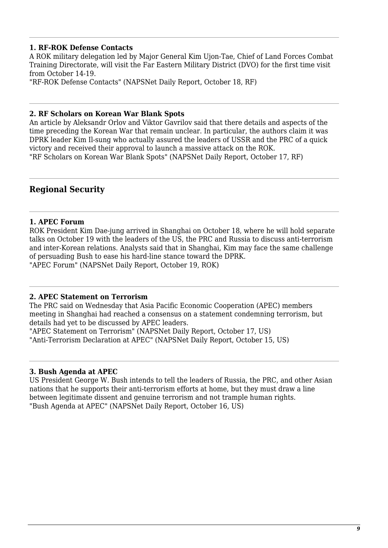#### **1. RF-ROK Defense Contacts**

A ROK military delegation led by Major General Kim Ujon-Tae, Chief of Land Forces Combat Training Directorate, will visit the Far Eastern Military District (DVO) for the first time visit from October 14-19.

"RF-ROK Defense Contacts" (NAPSNet Daily Report, October 18, RF)

#### **2. RF Scholars on Korean War Blank Spots**

An article by Aleksandr Orlov and Viktor Gavrilov said that there details and aspects of the time preceding the Korean War that remain unclear. In particular, the authors claim it was DPRK leader Kim Il-sung who actually assured the leaders of USSR and the PRC of a quick victory and received their approval to launch a massive attack on the ROK. "RF Scholars on Korean War Blank Spots" (NAPSNet Daily Report, October 17, RF)

# **Regional Security**

#### **1. APEC Forum**

ROK President Kim Dae-jung arrived in Shanghai on October 18, where he will hold separate talks on October 19 with the leaders of the US, the PRC and Russia to discuss anti-terrorism and inter-Korean relations. Analysts said that in Shanghai, Kim may face the same challenge of persuading Bush to ease his hard-line stance toward the DPRK. "APEC Forum" (NAPSNet Daily Report, October 19, ROK)

#### **2. APEC Statement on Terrorism**

The PRC said on Wednesday that Asia Pacific Economic Cooperation (APEC) members meeting in Shanghai had reached a consensus on a statement condemning terrorism, but details had yet to be discussed by APEC leaders.

"APEC Statement on Terrorism" (NAPSNet Daily Report, October 17, US) "Anti-Terrorism Declaration at APEC" (NAPSNet Daily Report, October 15, US)

#### **3. Bush Agenda at APEC**

US President George W. Bush intends to tell the leaders of Russia, the PRC, and other Asian nations that he supports their anti-terrorism efforts at home, but they must draw a line between legitimate dissent and genuine terrorism and not trample human rights. "Bush Agenda at APEC" (NAPSNet Daily Report, October 16, US)